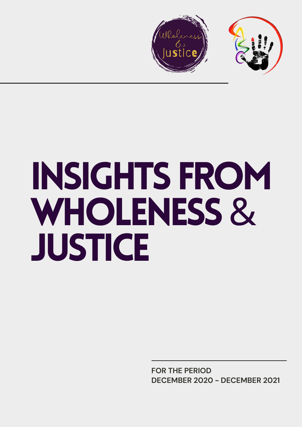

# INSIGHTS FROM WHOLENESS& **JUSTICE**

**FOR THE PERIOD DECEMBER 2020 - DECEMBER 2021**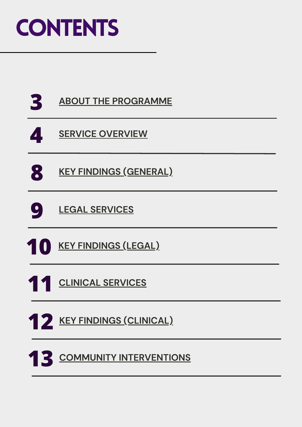## **CONTENTS**

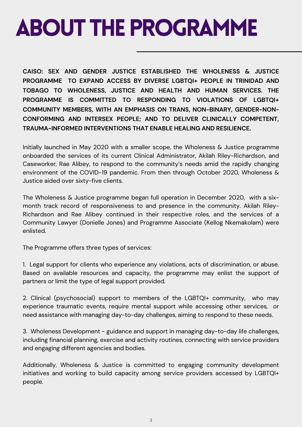## <span id="page-2-0"></span>ABOUT THE PROGRAMME

**CAISO: SEX AND GENDER JUSTICE ESTABLISHED THE WHOLENESS & JUSTICE PROGRAMME TO EXPAND ACCESS BY DIVERSE LGBTQI+ PEOPLE IN TRINIDAD AND TOBAGO TO WHOLENESS, JUSTICE AND HEALTH AND HUMAN SERVICES. THE PROGRAMME IS COMMITTED TO RESPONDING TO VIOLATIONS OF LGBTQI+ COMMUNITY MEMBERS, WITH AN EMPHASIS ON TRANS, NON-BINARY, GENDER-NON-CONFORMING AND INTERSEX PEOPLE; AND TO DELIVER CLINICALLY COMPETENT, TRAUMA-INFORMED INTERVENTIONS THAT ENABLE HEALING AND RESILIENCE.**

Initially launched in May 2020 with a smaller scope, the Wholeness & Justice programme onboarded the services of its current Clinical Administrator, Akilah Riley-Richardson, and Caseworker, Rae Alibey, to respond to the community's needs amid the rapidly changing environment of the COVID-19 pandemic. From then through October 2020, Wholeness & Justice aided over sixty-five clients.

The Wholeness & Justice programme began full operation in December 2020, with a sixmonth track record of responsiveness to and presence in the community. Akilah Riley-Richardson and Rae Alibey continued in their respective roles, and the services of a Community Lawyer (Donielle Jones) and Programme Associate (Kellog Nkemakolam) were enlisted.

The Programme offers three types of services:

1. Legal support for clients who experience any violations, acts of discrimination, or abuse. Based on available resources and capacity, the programme may enlist the support of partners or limit the type of legal support provided.

2. Clinical (psychosocial) support to members of the LGBTQI+ community, who may experience traumatic events, require mental support while accessing other services, or need assistance with managing day-to-day challenges, aiming to respond to these needs.

3. Wholeness Development - guidance and support in managing day-to-day life challenges, including financial planning, exercise and activity routines, connecting with service providers and engaging different agencies and bodies.

Additionally, Wholeness & Justice is committed to engaging community development initiatives and working to build capacity among service providers accessed by LGBTQI+ people.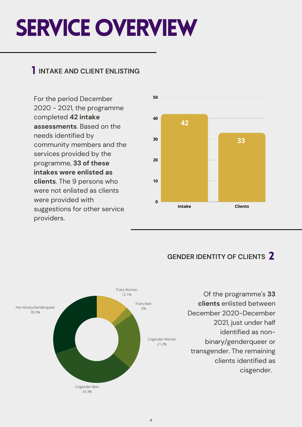## <span id="page-3-0"></span>**SERVICE OVERVIEW**

### 1 **INTAKE AND CLIENT ENLISTING**

For the period December 2020 - 2021, the programme completed **42 intake assessments**. Based on the needs identified by community members and the services provided by the programme, **33 of these intakes were enlisted as clients**. The 9 persons who were not enlisted as clients were provided with suggestions for other service providers.



### **GENDER IDENTITY OF CLIENTS** 2



Of the programme's **33 clients** enlisted between December 2020-December 2021, just under half identified as nonbinary/genderqueer or transgender. The remaining clients identified as cisgender.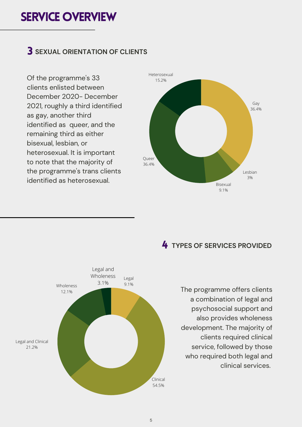### **SERVICE OVERVIEW**

### 3 **SEXUAL ORIENTATION OF CLIENTS**

Of the programme's 33 clients enlisted between December 2020- December 2021, roughly a third identified as gay, another third identified as queer, and the remaining third as either bisexual, lesbian, or heterosexual. It is important to note that the majority of the programme's trans clients identified as heterosexual.



### 4 **TYPES OF SERVICES PROVIDED**



The programme offers clients a combination of legal and psychosocial support and also provides wholeness development. The majority of clients required clinical service, followed by those who required both legal and clinical services.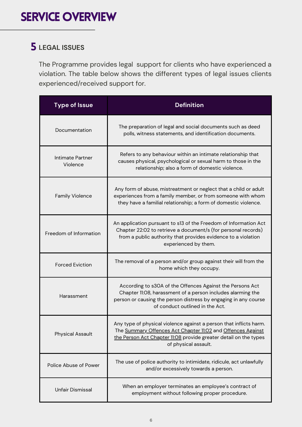### 5 **LEGAL ISSUES**

The Programme provides legal support for clients who have experienced a violation. The table below shows the different types of legal issues clients experienced/received support for.

| <b>Type of Issue</b>         | <b>Definition</b>                                                                                                                                                                                                              |  |
|------------------------------|--------------------------------------------------------------------------------------------------------------------------------------------------------------------------------------------------------------------------------|--|
| Documentation                | The preparation of legal and social documents such as deed<br>polls, witness statements, and identification documents.                                                                                                         |  |
| Intimate Partner<br>Violence | Refers to any behaviour within an intimate relationship that<br>causes physical, psychological or sexual harm to those in the<br>relationship; also a form of domestic violence.                                               |  |
| <b>Family Violence</b>       | Any form of abuse, mistreatment or neglect that a child or adult<br>experiences from a family member, or from someone with whom<br>they have a familial relationship; a form of domestic violence.                             |  |
| Freedom of Information       | An application pursuant to s13 of the Freedom of Information Act<br>Chapter 22:02 to retrieve a document/s (for personal records)<br>from a public authority that provides evidence to a violation<br>experienced by them.     |  |
| <b>Forced Eviction</b>       | The removal of a person and/or group against their will from the<br>home which they occupy.                                                                                                                                    |  |
| Harassment                   | According to s30A of the Offences Against the Persons Act<br>Chapter 11:08, harassment of a person includes alarming the<br>person or causing the person distress by engaging in any course<br>of conduct outlined in the Act. |  |
| <b>Physical Assault</b>      | Any type of physical violence against a person that inflicts harm.<br>The Summary Offences Act Chapter 11:02 and Offences Against<br>the Person Act Chapter 11:08 provide greater detail on the types<br>of physical assault.  |  |
| Police Abuse of Power        | The use of police authority to intimidate, ridicule, act unlawfully<br>and/or excessively towards a person.                                                                                                                    |  |
| Unfair Dismissal             | When an employer terminates an employee's contract of<br>employment without following proper procedure.                                                                                                                        |  |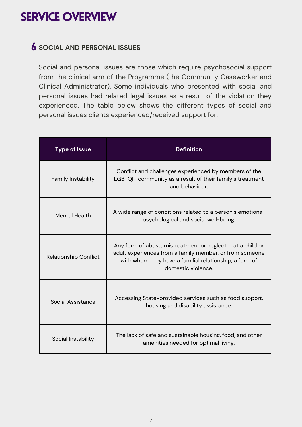### 6 **SOCIAL AND PERSONAL ISSUES**

Social and personal issues are those which require psychosocial support from the clinical arm of the Programme (the Community Caseworker and Clinical Administrator). Some individuals who presented with social and personal issues had related legal issues as a result of the violation they experienced. The table below shows the different types of social and personal issues clients experienced/received support for.

| <b>Type of Issue</b>         | <b>Definition</b>                                                                                                                                                                                     |  |
|------------------------------|-------------------------------------------------------------------------------------------------------------------------------------------------------------------------------------------------------|--|
| Family Instability           | Conflict and challenges experienced by members of the<br>LGBTQI+ community as a result of their family's treatment<br>and behaviour.                                                                  |  |
| <b>Mental Health</b>         | A wide range of conditions related to a person's emotional,<br>psychological and social well-being.                                                                                                   |  |
| <b>Relationship Conflict</b> | Any form of abuse, mistreatment or neglect that a child or<br>adult experiences from a family member, or from someone<br>with whom they have a familial relationship; a form of<br>domestic violence. |  |
| Social Assistance            | Accessing State-provided services such as food support,<br>housing and disability assistance.                                                                                                         |  |
| Social Instability           | The lack of safe and sustainable housing, food, and other<br>amenities needed for optimal living.                                                                                                     |  |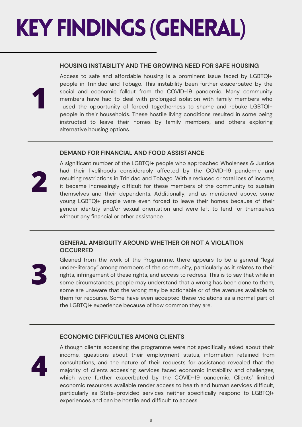## <span id="page-7-0"></span>**KEY FINDINGS (GENERAL)**

#### **HOUSING INSTABILITY AND THE GROWING NEED FOR SAFE HOUSING**

Access to safe and affordable housing is a prominent issue faced by LGBTQI+ people in Trinidad and Tobago. This instability been further exacerbated by the social and economic fallout from the COVID-19 pandemic. Many community members have had to deal with prolonged isolation with family members who used the opportunity of forced togetherness to shame and rebuke LGBTQI+ people in their households. These hostile living conditions resulted in some being instructed to leave their homes by family members, and others exploring alternative housing options.

#### **DEMAND FOR FINANCIAL AND FOOD ASSISTANCE**



**1**

A significant number of the LGBTQI+ people who approached Wholeness & Justice had their livelihoods considerably affected by the COVID-19 pandemic and resulting restrictions in Trinidad and Tobago. With a reduced or total loss of income, it became increasingly difficult for these members of the community to sustain themselves and their dependents. Additionally, and as mentioned above, some young LGBTQI+ people were even forced to leave their homes because of their gender identity and/or sexual orientation and were left to fend for themselves without any financial or other assistance.

#### **GENERAL AMBIGUITY AROUND WHETHER OR NOT A VIOLATION OCCURRED**



Gleaned from the work of the Programme, there appears to be a general "legal under-literacy" among members of the community, particularly as it relates to their rights, infringement of these rights, and access to redress. This is to say that while in some circumstances, people may understand that a wrong has been done to them, some are unaware that the wrong may be actionable or of the avenues available to them for recourse. Some have even accepted these violations as a normal part of the LGBTQI+ experience because of how common they are.

#### **ECONOMIC DIFFICULTIES AMONG CLIENTS**



Although clients accessing the programme were not specifically asked about their income, questions about their employment status, information retained from consultations, and the nature of their requests for assistance revealed that the majority of clients accessing services faced economic instability and challenges, which were further exacerbated by the COVID-19 pandemic. Clients' limited economic resources available render access to health and human services difficult, particularly as State-provided services neither specifically respond to LGBTQI+ experiences and can be hostile and difficult to access.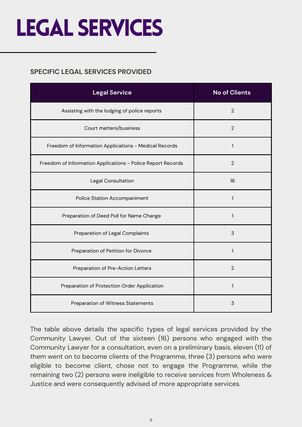## <span id="page-8-0"></span>LEGAL SERVICES

#### **SPECIFIC LEGAL SERVICES PROVIDED**

| <b>Legal Service</b>                                        | <b>No of Clients</b> |
|-------------------------------------------------------------|----------------------|
| Assisting with the lodging of police reports                | $\overline{2}$       |
| Court matters/business                                      | $\overline{2}$       |
| Freedom of Information Applications - Medical Records       | 1                    |
| Freedom of Information Applications - Police Report Records | $\overline{2}$       |
| Legal Consultation                                          | 16                   |
| <b>Police Station Accompaniment</b>                         | 1                    |
| Preparation of Deed Poll for Name Change                    | 1                    |
| Preparation of Legal Complaints                             | 3                    |
| Preparation of Petition for Divorce                         | 1                    |
| Preparation of Pre-Action Letters                           | $\overline{2}$       |
| Preparation of Protection Order Application                 | 1                    |
| Preparation of Witness Statements                           | 3                    |

The table above details the specific types of legal services provided by the Community Lawyer. Out of the sixteen (16) persons who engaged with the Community Lawyer for a consultation, even on a preliminary basis, eleven (11) of them went on to become clients of the Programme, three (3) persons who were eligible to become client, chose not to engage the Programme, while the remaining two (2) persons were ineligible to receive services from Wholeness & Justice and were consequently advised of more appropriate services.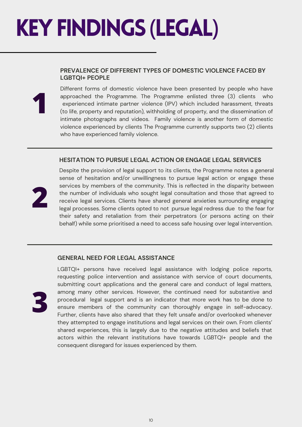## <span id="page-9-0"></span>**KEY FINDINGS (LEGAL)**

#### **PREVALENCE OF DIFFERENT TYPES OF DOMESTIC VIOLENCE FACED BY LGBTQI+ PEOPLE**

**1**

Different forms of domestic violence have been presented by people who have approached the Programme. The Programme enlisted three (3) clients who experienced intimate partner violence (IPV) which included harassment, threats (to life, property and reputation), withholding of property, and the dissemination of intimate photographs and videos. Family violence is another form of domestic violence experienced by clients The Programme currently supports two (2) clients who have experienced family violence.

#### **HESITATION TO PURSUE LEGAL ACTION OR ENGAGE LEGAL SERVICES**



Despite the provision of legal support to its clients, the Programme notes a general sense of hesitation and/or unwillingness to pursue legal action or engage these services by members of the community. This is reflected in the disparity between the number of individuals who sought legal consultation and those that agreed to receive legal services. Clients have shared general anxieties surrounding engaging legal processes. Some clients opted to not pursue legal redress due to the fear for their safety and retaliation from their perpetrators (or persons acting on their behalf) while some prioritised a need to access safe housing over legal intervention.

#### **GENERAL NEED FOR LEGAL ASSISTANCE**



LGBTQI+ persons have received legal assistance with lodging police reports, requesting police intervention and assistance with service of court documents, submitting court applications and the general care and conduct of legal matters, among many other services. However, the continued need for substantive and procedural legal support and is an indicator that more work has to be done to ensure members of the community can thoroughly engage in self-advocacy. Further, clients have also shared that they felt unsafe and/or overlooked whenever they attempted to engage institutions and legal services on their own. From clients' shared experiences, this is largely due to the negative attitudes and beliefs that actors within the relevant institutions have towards LGBTQI+ people and the consequent disregard for issues experienced by them.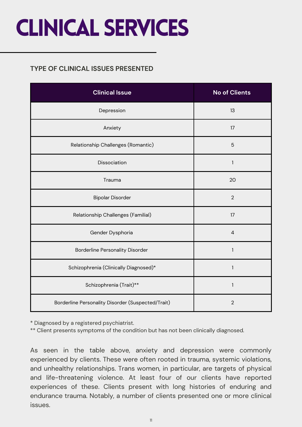## <span id="page-10-0"></span>CLINICAL SERVICES

#### **TYPE OF CLINICAL ISSUES PRESENTED**

| <b>Clinical Issue</b>                             | <b>No of Clients</b> |
|---------------------------------------------------|----------------------|
| Depression                                        | 13                   |
| Anxiety                                           | 17                   |
| Relationship Challenges (Romantic)                | 5                    |
| Dissociation                                      | $\mathbf{1}$         |
| Trauma                                            | 20                   |
| <b>Bipolar Disorder</b>                           | $\overline{2}$       |
| Relationship Challenges (Familial)                | 17                   |
| Gender Dysphoria                                  | $\overline{4}$       |
| <b>Borderline Personality Disorder</b>            | $\mathbf{1}$         |
| Schizophrenia (Clinically Diagnosed)*             | $\mathbf{1}$         |
| Schizophrenia (Trait)**                           | $\mathbf{1}$         |
| Borderline Personality Disorder (Suspected/Trait) | $\overline{2}$       |

\* Diagnosed by a registered psychiatrist.

\*\* Client presents symptoms of the condition but has not been clinically diagnosed.

As seen in the table above, anxiety and depression were commonly experienced by clients. These were often rooted in trauma, systemic violations, and unhealthy relationships. Trans women, in particular, are targets of physical and life-threatening violence. At least four of our clients have reported experiences of these. Clients present with long histories of enduring and endurance trauma. Notably, a number of clients presented one or more clinical issues.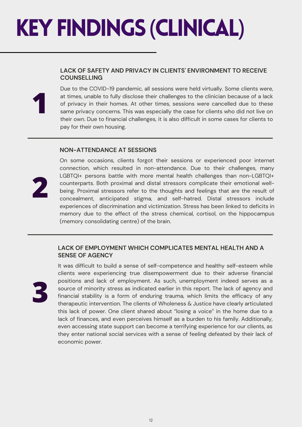## <span id="page-11-0"></span>KEYFINDINGS (CLINICAL)

#### **LACK OF SAFETY AND PRIVACY IN CLIENTS' ENVIRONMENT TO RECEIVE COUNSELLING**

Due to the COVID-19 pandemic, all sessions were held virtually. Some clients were, at times, unable to fully disclose their challenges to the clinician because of a lack of privacy in their homes. At other times, sessions were cancelled due to these same privacy concerns. This was especially the case for clients who did not live on their own. Due to financial challenges, it is also difficult in some cases for clients to pay for their own housing.

#### **NON-ATTENDANCE AT SESSIONS**



**1**

On some occasions, clients forgot their sessions or experienced poor internet connection, which resulted in non-attendance. Due to their challenges, many LGBTQI+ persons battle with more mental health challenges than non-LGBTQI+ counterparts. Both proximal and distal stressors complicate their emotional wellbeing. Proximal stressors refer to the thoughts and feelings that are the result of concealment, anticipated stigma, and self-hatred. Distal stressors include experiences of discrimination and victimization. Stress has been linked to deficits in memory due to the effect of the stress chemical, cortisol, on the hippocampus (memory consolidating centre) of the brain.

#### **LACK OF EMPLOYMENT WHICH COMPLICATES MENTAL HEALTH AND A SENSE OF AGENCY**



It was difficult to build a sense of self-competence and healthy self-esteem while clients were experiencing true disempowerment due to their adverse financial positions and lack of employment. As such, unemployment indeed serves as a source of minority stress as indicated earlier in this report. The lack of agency and financial stability is a form of enduring trauma, which limits the efficacy of any therapeutic intervention. The clients of Wholeness & Justice have clearly articulated this lack of power. One client shared about "losing a voice" in the home due to a lack of finances, and even perceives himself as a burden to his family. Additionally, even accessing state support can become a terrifying experience for our clients, as they enter national social services with a sense of feeling defeated by their lack of economic power.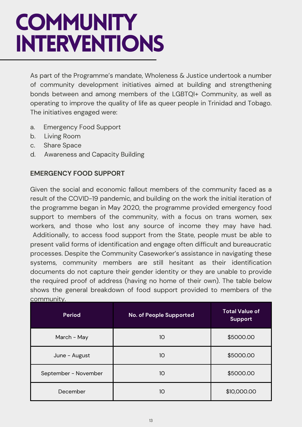## <span id="page-12-0"></span>**COMMUNITY** INTERVENTIONS

As part of the Programme's mandate, Wholeness & Justice undertook a number of community development initiatives aimed at building and strengthening bonds between and among members of the LGBTQI+ Community, as well as operating to improve the quality of life as queer people in Trinidad and Tobago. The initiatives engaged were:

- a. Emergency Food Support
- b. Living Room
- c. Share Space
- d. Awareness and Capacity Building

#### **EMERGENCY FOOD SUPPORT**

Given the social and economic fallout members of the community faced as a result of the COVID-19 pandemic, and building on the work the initial iteration of the programme began in May 2020, the programme provided emergency food support to members of the community, with a focus on trans women, sex workers, and those who lost any source of income they may have had. Additionally, to access food support from the State, people must be able to present valid forms of identification and engage often difficult and bureaucratic processes. Despite the Community Caseworker's assistance in navigating these systems, community members are still hesitant as their identification documents do not capture their gender identity or they are unable to provide the required proof of address (having no home of their own). The table below shows the general breakdown of food support provided to members of the community.

| <b>Period</b>        | No. of People Supported | <b>Total Value of</b><br><b>Support</b> |
|----------------------|-------------------------|-----------------------------------------|
| March - May          | 10                      | \$5000.00                               |
| June - August        | 10                      | \$5000.00                               |
| September - November | 10                      | \$5000.00                               |
| December             | 10                      | \$10,000.00                             |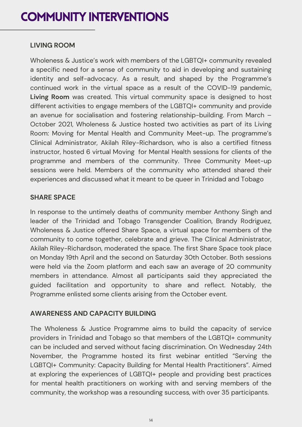### **COMMUNITY INTERVENTIONS**

#### **LIVING ROOM**

Wholeness & Justice's work with members of the LGBTQI+ community revealed a specific need for a sense of community to aid in developing and sustaining identity and self-advocacy. As a result, and shaped by the Programme's continued work in the virtual space as a result of the COVID-19 pandemic, **Living Room** was created. This virtual community space is designed to host different activities to engage members of the LGBTQI+ community and provide an avenue for socialisation and fostering relationship-building. From March – October 2021, Wholeness & Justice hosted two activities as part of its Living Room: Moving for Mental Health and Community Meet-up. The programme's Clinical Administrator, Akilah Riley-Richardson, who is also a certified fitness instructor, hosted 6 virtual Moving for Mental Health sessions for clients of the programme and members of the community. Three Community Meet-up sessions were held. Members of the community who attended shared their experiences and discussed what it meant to be queer in Trinidad and Tobago

#### **SHARE SPACE**

In response to the untimely deaths of community member Anthony Singh and leader of the Trinidad and Tobago Transgender Coalition, Brandy Rodriguez, Wholeness & Justice offered Share Space, a virtual space for members of the community to come together, celebrate and grieve. The Clinical Administrator, Akilah Riley-Richardson, moderated the space. The first Share Space took place on Monday 19th April and the second on Saturday 30th October. Both sessions were held via the Zoom platform and each saw an average of 20 community members in attendance. Almost all participants said they appreciated the guided facilitation and opportunity to share and reflect. Notably, the Programme enlisted some clients arising from the October event.

#### **AWARENESS AND CAPACITY BUILDING**

The Wholeness & Justice Programme aims to build the capacity of service providers in Trinidad and Tobago so that members of the LGBTQI+ community can be included and served without facing discrimination. On Wednesday 24th November, the Programme hosted its first webinar entitled "Serving the LGBTQI+ Community: Capacity Building for Mental Health Practitioners". Aimed at exploring the experiences of LGBTQI+ people and providing best practices for mental health practitioners on working with and serving members of the community, the workshop was a resounding success, with over 35 participants.